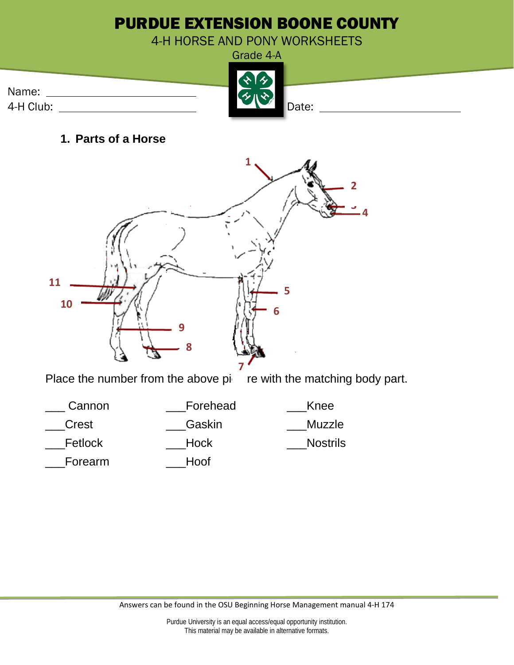

**1. Parts of a Horse** 



Place the number from the above  $pi$  re with the matching body part.

| Cannon  | Forehead | Knee            |
|---------|----------|-----------------|
| Crest   | Gaskin   | Muzzle          |
| Fetlock | Hock     | <b>Nostrils</b> |
| Forearm | Hoof     |                 |